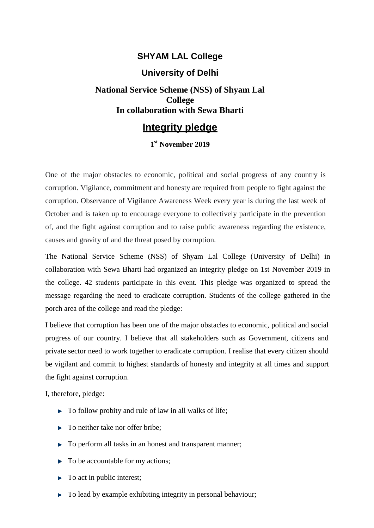### **SHYAM LAL College**

#### **University of Delhi**

# **National Service Scheme (NSS) of Shyam Lal College In collaboration with Sewa Bharti**

# **Integrity pledge**

#### **1 st November 2019**

One of the major obstacles to economic, political and social progress of any country is corruption. Vigilance, commitment and honesty are required from people to fight against the corruption. Observance of Vigilance Awareness Week every year is during the last week of October and is taken up to encourage everyone to collectively participate in the prevention of, and the fight against corruption and to raise public awareness regarding the existence, causes and gravity of and the threat posed by corruption.

The National Service Scheme (NSS) of Shyam Lal College (University of Delhi) in collaboration with Sewa Bharti had organized an integrity pledge on 1st November 2019 in the college. 42 students participate in this event. This pledge was organized to spread the message regarding the need to eradicate corruption. Students of the college gathered in the porch area of the college and read the pledge:

I believe that corruption has been one of the major obstacles to economic, political and social progress of our country. I believe that all stakeholders such as Government, citizens and private sector need to work together to eradicate corruption. I realise that every citizen should be vigilant and commit to highest standards of honesty and integrity at all times and support the fight against corruption.

I, therefore, pledge:

- $\blacktriangleright$  To follow probity and rule of law in all walks of life;
- ► To neither take nor offer bribe;
- To perform all tasks in an honest and transparent manner;
- To be accountable for my actions;
- $\blacktriangleright$  To act in public interest;
- $\triangleright$  To lead by example exhibiting integrity in personal behaviour;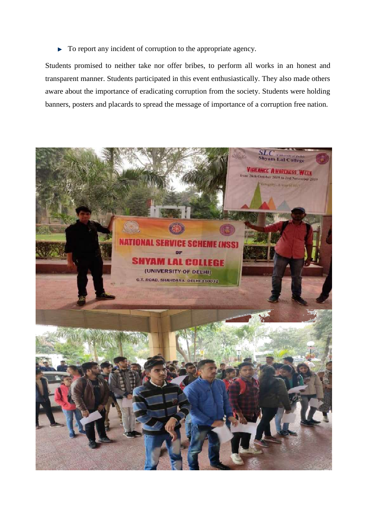To report any incident of corruption to the appropriate agency. Þ

Students promised to neither take nor offer bribes, to perform all works in an honest and transparent manner. Students participated in this event enthusiastically. They also made others aware about the importance of eradicating corruption from the society. Students were holding banners, posters and placards to spread the message of importance of a corruption free nation.